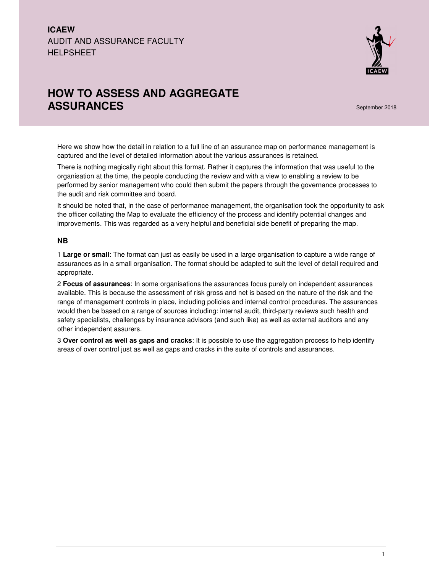## **ICAEW**  AUDIT AND ASSURANCE FACULTY **HELPSHEET**



# **HOW TO ASSESS AND AGGREGATE ASSURANCES** September 2018

Here we show how the detail in relation to a full line of an assurance map on performance management is captured and the level of detailed information about the various assurances is retained.

There is nothing magically right about this format. Rather it captures the information that was useful to the organisation at the time, the people conducting the review and with a view to enabling a review to be performed by senior management who could then submit the papers through the governance processes to the audit and risk committee and board.

It should be noted that, in the case of performance management, the organisation took the opportunity to ask the officer collating the Map to evaluate the efficiency of the process and identify potential changes and improvements. This was regarded as a very helpful and beneficial side benefit of preparing the map.

#### **NB**

1 **Large or small**: The format can just as easily be used in a large organisation to capture a wide range of assurances as in a small organisation. The format should be adapted to suit the level of detail required and appropriate.

2 **Focus of assurances**: In some organisations the assurances focus purely on independent assurances available. This is because the assessment of risk gross and net is based on the nature of the risk and the range of management controls in place, including policies and internal control procedures. The assurances would then be based on a range of sources including: internal audit, third-party reviews such health and safety specialists, challenges by insurance advisors (and such like) as well as external auditors and any other independent assurers.

3 **Over control as well as gaps and cracks**: It is possible to use the aggregation process to help identify areas of over control just as well as gaps and cracks in the suite of controls and assurances.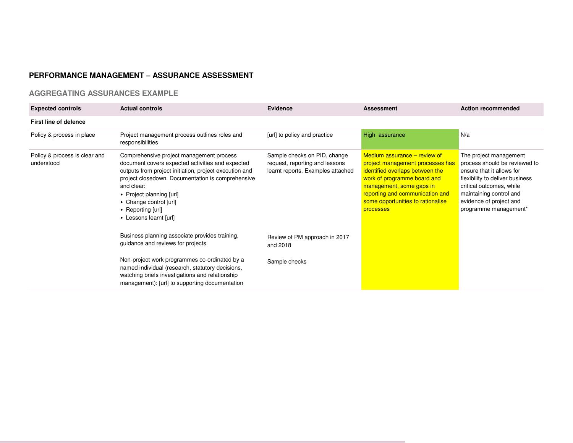## **PERFORMANCE MANAGEMENT – ASSURANCE ASSESSMENT**

### **AGGREGATING ASSURANCES EXAMPLE**

| <b>Expected controls</b>                    | <b>Actual controls</b>                                                                                                                                                                                                                                                                                                         | Evidence                                                                                            | <b>Assessment</b>                                                                                                                                                                                                                                   | <b>Action recommended</b>                                                                                                                                                                                                          |
|---------------------------------------------|--------------------------------------------------------------------------------------------------------------------------------------------------------------------------------------------------------------------------------------------------------------------------------------------------------------------------------|-----------------------------------------------------------------------------------------------------|-----------------------------------------------------------------------------------------------------------------------------------------------------------------------------------------------------------------------------------------------------|------------------------------------------------------------------------------------------------------------------------------------------------------------------------------------------------------------------------------------|
| First line of defence                       |                                                                                                                                                                                                                                                                                                                                |                                                                                                     |                                                                                                                                                                                                                                                     |                                                                                                                                                                                                                                    |
| Policy & process in place                   | Project management process outlines roles and<br>responsibilities                                                                                                                                                                                                                                                              | [url] to policy and practice                                                                        | High assurance                                                                                                                                                                                                                                      | N/a                                                                                                                                                                                                                                |
| Policy & process is clear and<br>understood | Comprehensive project management process<br>document covers expected activities and expected<br>outputs from project initiation, project execution and<br>project closedown. Documentation is comprehensive<br>and clear:<br>• Project planning [url]<br>• Change control [url]<br>• Reporting [url]<br>• Lessons learnt [url] | Sample checks on PID, change<br>request, reporting and lessons<br>learnt reports. Examples attached | Medium assurance – review of<br>project management processes has<br>identified overlaps between the<br>work of programme board and<br>management, some gaps in<br>reporting and communication and<br>some opportunities to rationalise<br>processes | The project management<br>process should be reviewed to<br>ensure that it allows for<br>flexibility to deliver business<br>critical outcomes, while<br>maintaining control and<br>evidence of project and<br>programme management* |
|                                             | Business planning associate provides training,<br>guidance and reviews for projects                                                                                                                                                                                                                                            | Review of PM approach in 2017<br>and 2018                                                           |                                                                                                                                                                                                                                                     |                                                                                                                                                                                                                                    |
|                                             | Non-project work programmes co-ordinated by a<br>named individual (research, statutory decisions,<br>watching briefs investigations and relationship<br>management): [url] to supporting documentation                                                                                                                         | Sample checks                                                                                       |                                                                                                                                                                                                                                                     |                                                                                                                                                                                                                                    |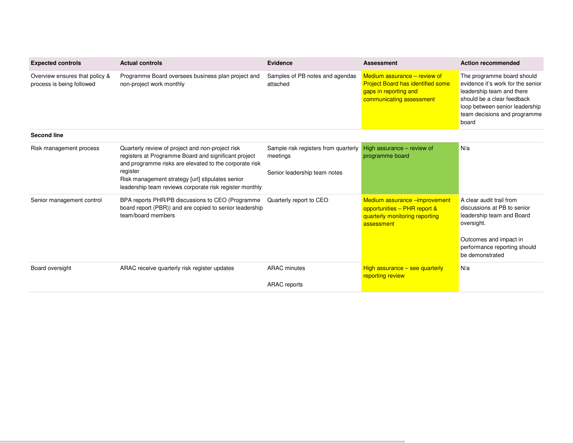| <b>Expected controls</b>                                    | <b>Actual controls</b>                                                                                                                                                                                                                                                                        | <b>Evidence</b>                                                                  | <b>Assessment</b>                                                                                                             | <b>Action recommended</b>                                                                                                                                                                             |
|-------------------------------------------------------------|-----------------------------------------------------------------------------------------------------------------------------------------------------------------------------------------------------------------------------------------------------------------------------------------------|----------------------------------------------------------------------------------|-------------------------------------------------------------------------------------------------------------------------------|-------------------------------------------------------------------------------------------------------------------------------------------------------------------------------------------------------|
| Overview ensures that policy &<br>process is being followed | Programme Board oversees business plan project and<br>non-project work monthly                                                                                                                                                                                                                | Samples of PB notes and agendas<br>attached                                      | Medium assurance - review of<br><b>Project Board has identified some</b><br>gaps in reporting and<br>communicating assessment | The programme board should<br>evidence it's work for the senior<br>leadership team and there<br>should be a clear feedback<br>loop between senior leadership<br>team decisions and programme<br>board |
| <b>Second line</b>                                          |                                                                                                                                                                                                                                                                                               |                                                                                  |                                                                                                                               |                                                                                                                                                                                                       |
| Risk management process                                     | Quarterly review of project and non-project risk<br>registers at Programme Board and significant project<br>and programme risks are elevated to the corporate risk<br>register<br>Risk management strategy [url] stipulates senior<br>leadership team reviews corporate risk register monthly | Sample risk registers from quarterly<br>meetings<br>Senior leadership team notes | High assurance - review of<br>programme board                                                                                 | N/a                                                                                                                                                                                                   |
| Senior management control                                   | BPA reports PHR/PB discussions to CEO (Programme<br>board report (PBR)) and are copied to senior leadership<br>team/board members                                                                                                                                                             | Quarterly report to CEO                                                          | Medium assurance - improvement<br>opportunities - PHR report &<br>quarterly monitoring reporting<br>assessment                | A clear audit trail from<br>discussions at PB to senior<br>leadership team and Board<br>oversight.<br>Outcomes and impact in<br>performance reporting should<br>be demonstrated                       |
| Board oversight                                             | ARAC receive quarterly risk register updates                                                                                                                                                                                                                                                  | <b>ARAC</b> minutes                                                              | High assurance $-$ see quarterly<br>reporting review                                                                          | N/a                                                                                                                                                                                                   |
|                                                             |                                                                                                                                                                                                                                                                                               | <b>ARAC</b> reports                                                              |                                                                                                                               |                                                                                                                                                                                                       |